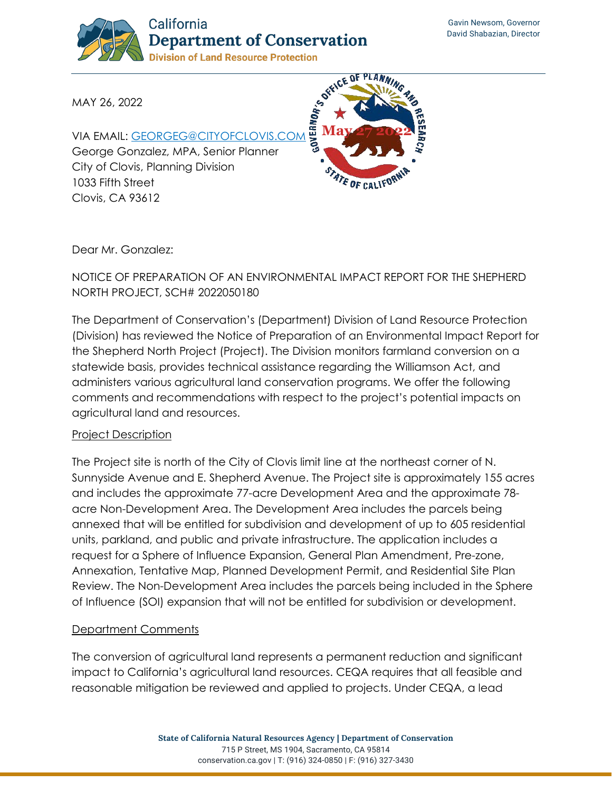

MAY 26, 2022

VIA EMAIL: [GEORGEG@CITYOFCLOVIS.COM](mailto:georgeg@cityofclovis.com) George Gonzalez, MPA, Senior Planner City of Clovis, Planning Division 1033 Fifth Street Clovis, CA 93612



Dear Mr. Gonzalez:

## NOTICE OF PREPARATION OF AN ENVIRONMENTAL IMPACT REPORT FOR THE SHEPHERD NORTH PROJECT, SCH# 2022050180

The Department of Conservation's (Department) Division of Land Resource Protection (Division) has reviewed the Notice of Preparation of an Environmental Impact Report for the Shepherd North Project (Project). The Division monitors farmland conversion on a statewide basis, provides technical assistance regarding the Williamson Act, and administers various agricultural land conservation programs. We offer the following comments and recommendations with respect to the project's potential impacts on agricultural land and resources.

#### Project Description

The Project site is north of the City of Clovis limit line at the northeast corner of N. Sunnyside Avenue and E. Shepherd Avenue. The Project site is approximately 155 acres and includes the approximate 77-acre Development Area and the approximate 78 acre Non-Development Area. The Development Area includes the parcels being annexed that will be entitled for subdivision and development of up to 605 residential units, parkland, and public and private infrastructure. The application includes a request for a Sphere of Influence Expansion, General Plan Amendment, Pre-zone, Annexation, Tentative Map, Planned Development Permit, and Residential Site Plan Review. The Non-Development Area includes the parcels being included in the Sphere of Influence (SOI) expansion that will not be entitled for subdivision or development.

### Department Comments

The conversion of agricultural land represents a permanent reduction and significant impact to California's agricultural land resources. CEQA requires that all feasible and reasonable mitigation be reviewed and applied to projects. Under CEQA, a lead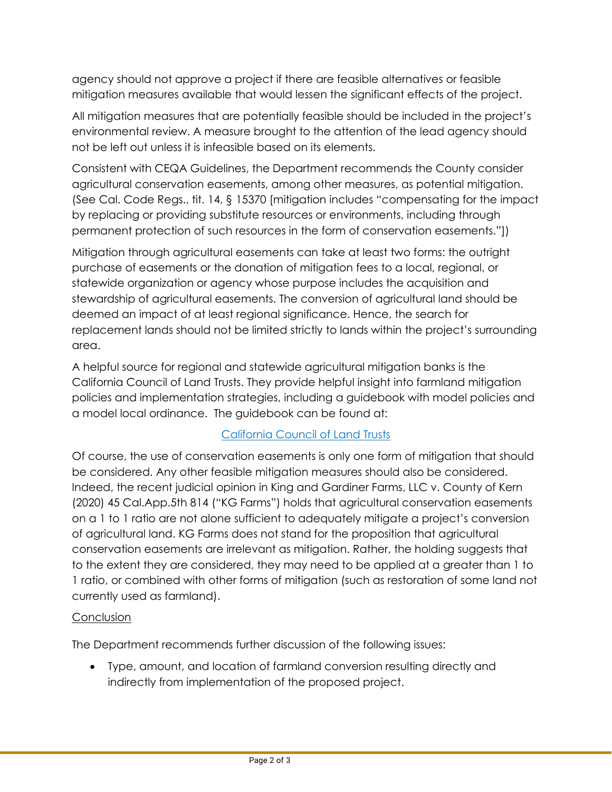agency should not approve a project if there are feasible alternatives or feasible mitigation measures available that would lessen the significant effects of the project.

All mitigation measures that are potentially feasible should be included in the project's environmental review. A measure brought to the attention of the lead agency should not be left out unless it is infeasible based on its elements.

Consistent with CEQA Guidelines, the Department recommends the County consider agricultural conservation easements, among other measures, as potential mitigation. (See Cal. Code Regs., tit. 14, § 15370 [mitigation includes "compensating for the impact by replacing or providing substitute resources or environments, including through permanent protection of such resources in the form of conservation easements."])

Mitigation through agricultural easements can take at least two forms: the outright purchase of easements or the donation of mitigation fees to a local, regional, or statewide organization or agency whose purpose includes the acquisition and stewardship of agricultural easements. The conversion of agricultural land should be deemed an impact of at least regional significance. Hence, the search for replacement lands should not be limited strictly to lands within the project's surrounding area.

A helpful source for regional and statewide agricultural mitigation banks is the California Council of Land Trusts. They provide helpful insight into farmland mitigation policies and implementation strategies, including a guidebook with model policies and a model local ordinance. The guidebook can be found at:

# [California Council of Land Trusts](https://www.calandtrusts.org/resources/conserving-californias-harvest/)

Of course, the use of conservation easements is only one form of mitigation that should be considered. Any other feasible mitigation measures should also be considered. Indeed, the recent judicial opinion in King and Gardiner Farms, LLC v. County of Kern (2020) 45 Cal.App.5th 814 ("KG Farms") holds that agricultural conservation easements on a 1 to 1 ratio are not alone sufficient to adequately mitigate a project's conversion of agricultural land. KG Farms does not stand for the proposition that agricultural conservation easements are irrelevant as mitigation. Rather, the holding suggests that to the extent they are considered, they may need to be applied at a greater than 1 to 1 ratio, or combined with other forms of mitigation (such as restoration of some land not currently used as farmland).

### **Conclusion**

The Department recommends further discussion of the following issues:

• Type, amount, and location of farmland conversion resulting directly and indirectly from implementation of the proposed project.